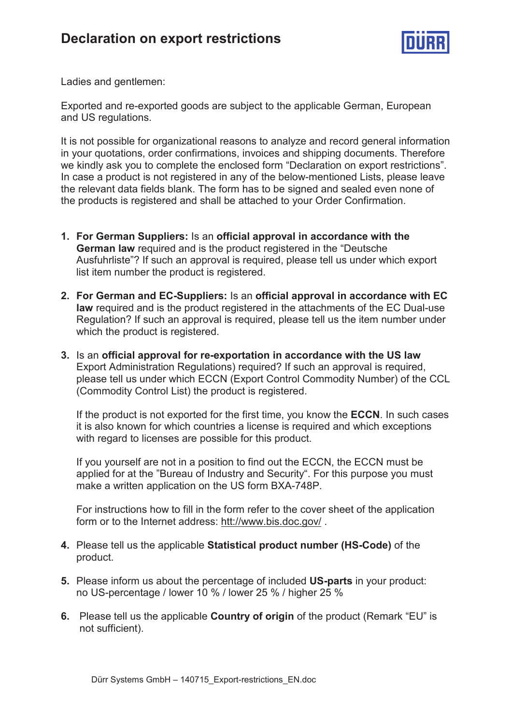

Ladies and gentlemen:

Exported and re-exported goods are subject to the applicable German, European and US regulations.

It is not possible for organizational reasons to analyze and record general information in your quotations, order confirmations, invoices and shipping documents. Therefore we kindly ask you to complete the enclosed form "Declaration on export restrictions". In case a product is not registered in any of the below-mentioned Lists, please leave the relevant data fields blank. The form has to be signed and sealed even none of the products is registered and shall be attached to your Order Confirmation.

- **1. For German Suppliers:** Is an **official approval in accordance with the German law** required and is the product registered in the "Deutsche Ausfuhrliste"? If such an approval is required, please tell us under which export list item number the product is registered.
- **2. For German and EC-Suppliers:** Is an **official approval in accordance with EC law** required and is the product registered in the attachments of the EC Dual-use Regulation? If such an approval is required, please tell us the item number under which the product is registered.
- **3.** Is an **official approval for re-exportation in accordance with the US law** Export Administration Regulations) required? If such an approval is required, please tell us under which ECCN (Export Control Commodity Number) of the CCL (Commodity Control List) the product is registered.

If the product is not exported for the first time, you know the **ECCN**. In such cases it is also known for which countries a license is required and which exceptions with regard to licenses are possible for this product.

If you yourself are not in a position to find out the ECCN, the ECCN must be applied for at the "Bureau of Industry and Security". For this purpose you must make a written application on the US form BXA-748P.

For instructions how to fill in the form refer to the cover sheet of the application form or to the Internet address: htt://www.bis.doc.gov/ .

- **4.** Please tell us the applicable **Statistical product number (HS-Code)** of the product.
- **5.** Please inform us about the percentage of included **US-parts** in your product: no US-percentage / lower 10 % / lower 25 % / higher 25 %
- **6.** Please tell us the applicable **Country of origin** of the product (Remark "EU" is not sufficient).